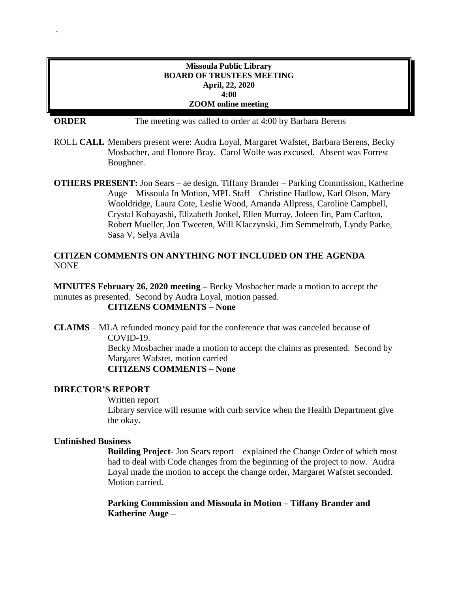### **Missoula Public Library BOARD OF TRUSTEES MEETING April, 22, 2020 4:00 ZOOM online meeting**

-

**ORDER** The meeting was called to order at 4:00 by Barbara Berens

- ROLL **CALL** Members present were: Audra Loyal, Margaret Wafstet, Barbara Berens, Becky Mosbacher, and Honore Bray. Carol Wolfe was excused. Absent was Forrest Boughner.
- **OTHERS PRESENT:** Jon Sears ae design, Tiffany Brander Parking Commission, Katherine Auge – Missoula In Motion, MPL Staff – Christine Hadlow, Karl Olson, Mary Wooldridge, Laura Cote, Leslie Wood, Amanda Allpress, Caroline Campbell, Crystal Kobayashi, Elizabeth Jonkel, Ellen Murray, Joleen Jin, Pam Carlton, Robert Mueller, Jon Tweeten, Will Klaczynski, Jim Semmelroth, Lyndy Parke, Sasa V, Selya Avila

# **CITIZEN COMMENTS ON ANYTHING NOT INCLUDED ON THE AGENDA** NONE

**MINUTES February 26, 2020 meeting –** Becky Mosbacher made a motion to accept the minutes as presented. Second by Audra Loyal, motion passed. **CITIZENS COMMENTS – None**

**CLAIMS** – MLA refunded money paid for the conference that was canceled because of COVID-19. Becky Mosbacher made a motion to accept the claims as presented. Second by Margaret Wafstet, motion carried **CITIZENS COMMENTS – None**

#### **DIRECTOR'S REPORT**

Written report

Library service will resume with curb service when the Health Department give the okay**.**

#### **Unfinished Business**

**Building Project**- Jon Sears report – explained the Change Order of which most had to deal with Code changes from the beginning of the project to now. Audra Loyal made the motion to accept the change order, Margaret Wafstet seconded. Motion carried.

**Parking Commission and Missoula in Motion – Tiffany Brander and Katherine Auge –**